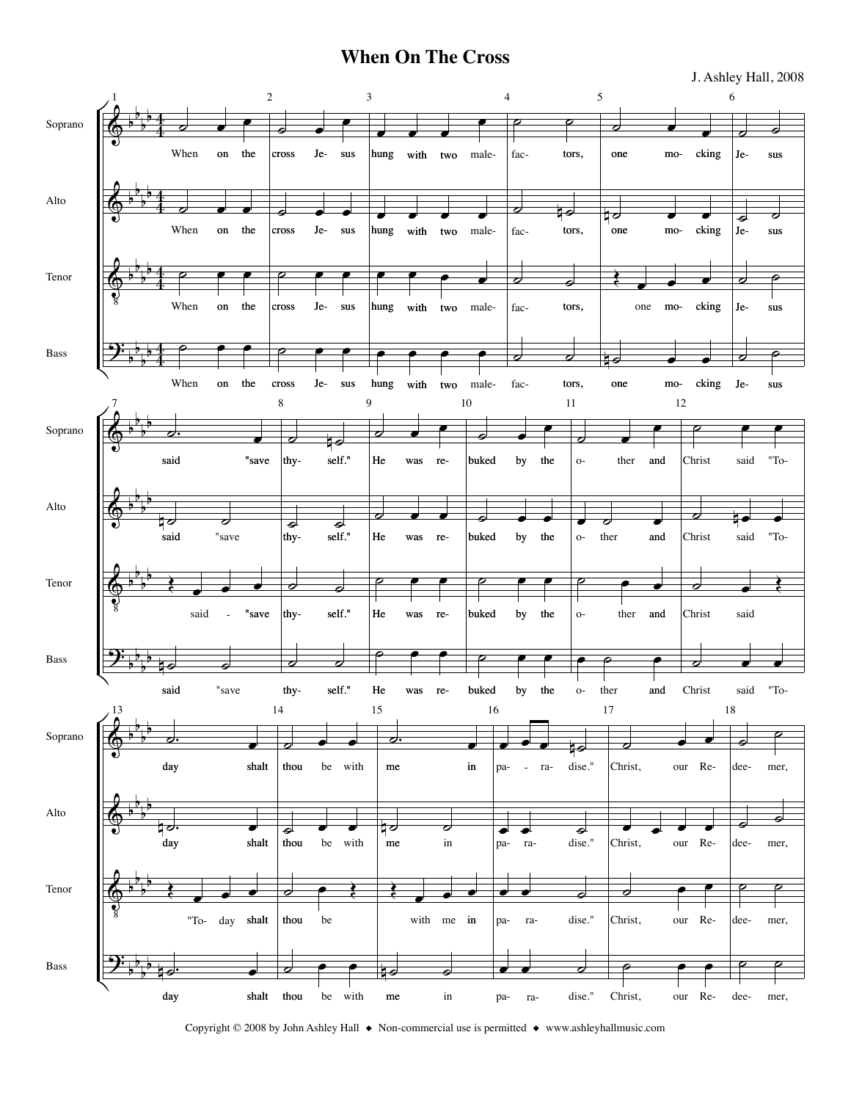## **When On The Cross**

J. Ashley Hall, 2008



Copyright © 2008 by John Ashley Hall ◆ Non-commercial use is permitted ◆ www.ashleyhallmusic.com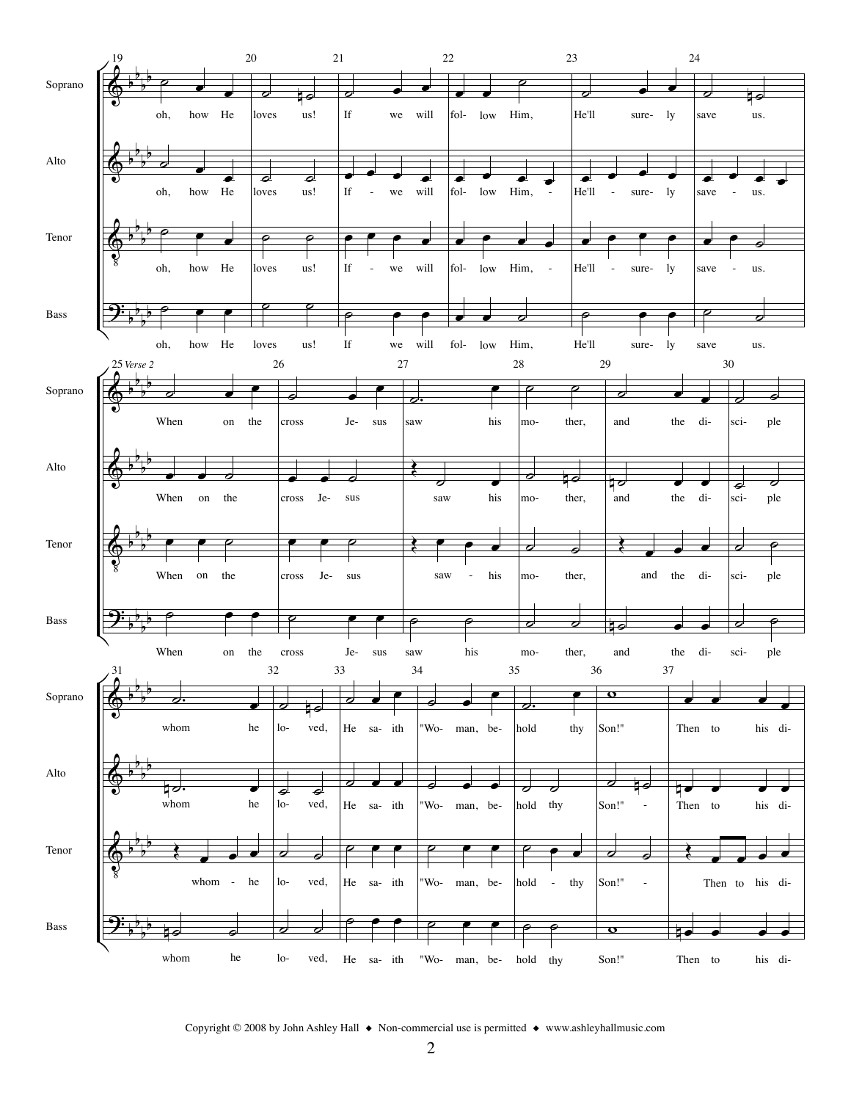

Copyright © 2008 by John Ashley Hall ♦ Non-commercial use is permitted ♦ www.ashleyhallmusic.com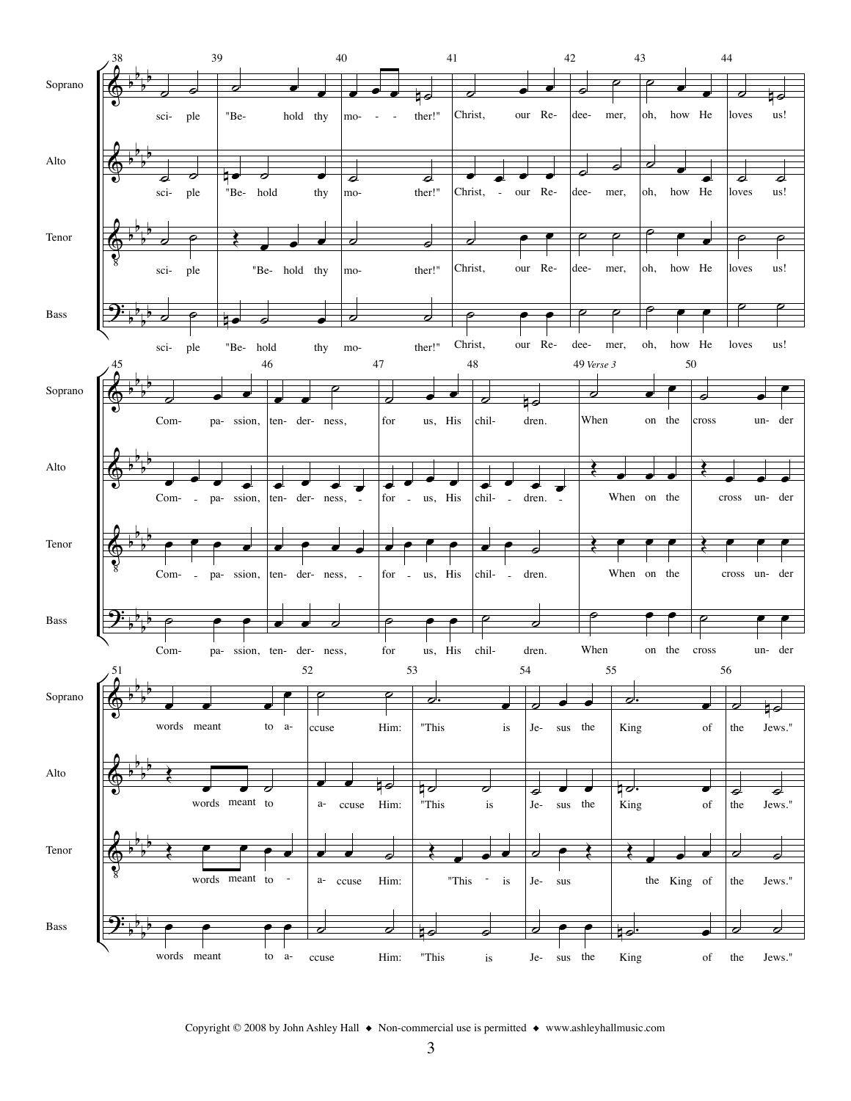

Copyright © 2008 by John Ashley Hall ♦ Non-commercial use is permitted ♦ www.ashleyhallmusic.com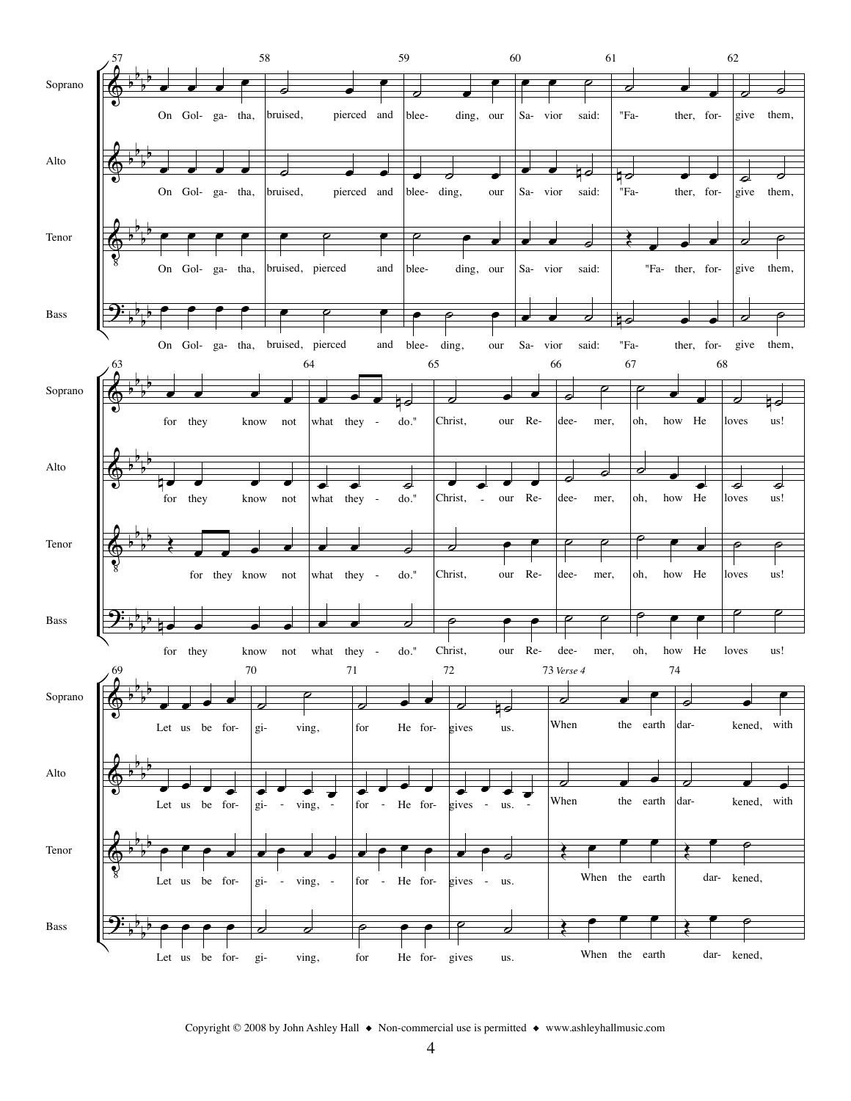

Copyright © 2008 by John Ashley Hall ◆ Non-commercial use is permitted ◆ www.ashleyhallmusic.com